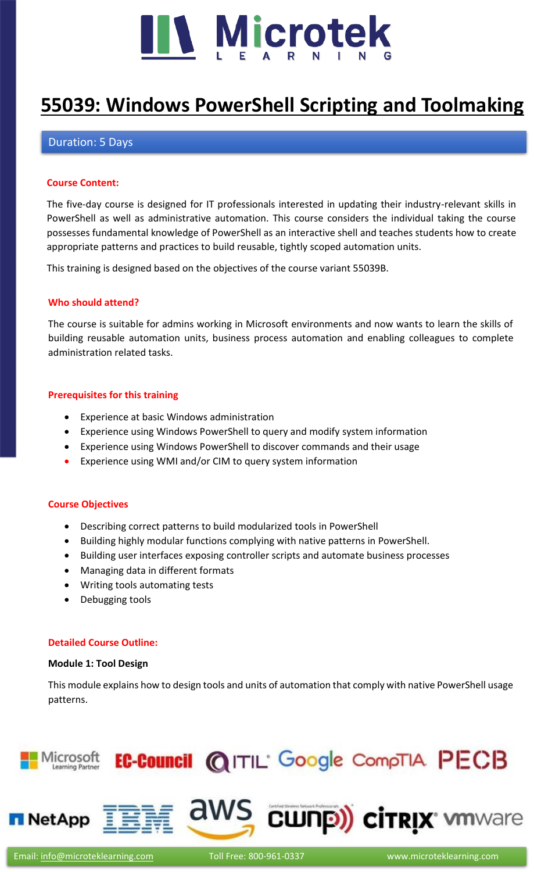

# **[55039: Windows PowerShell Scripting and](https://www.microteklearning.com/55039-windows-powershell-scripting-and-toolmaking-training/) Toolmaking**

## Duration: 5 Days

#### **Course Content:**

The five-day course is designed for IT professionals interested in updating their industry-relevant skills in PowerShell as well as administrative automation. This course considers the individual taking the course possesses fundamental knowledge of PowerShell as an interactive shell and teaches students how to create appropriate patterns and practices to build reusable, tightly scoped automation units.

This training is designed based on the objectives of the course variant 55039B.

## **Who should attend?**

The course is suitable for admins working in Microsoft environments and now wants to learn the skills of building reusable automation units, business process automation and enabling colleagues to complete administration related tasks.

## **Prerequisites for this training**

- Experience at basic Windows administration
- Experience using Windows PowerShell to query and modify system information
- Experience using Windows PowerShell to discover commands and their usage
- Experience using WMI and/or CIM to query system information

#### **Course Objectives**

- Describing correct patterns to build modularized tools in PowerShell
- Building highly modular functions complying with native patterns in PowerShell.
- Building user interfaces exposing controller scripts and automate business processes
- Managing data in different formats
- Writing tools automating tests
- Debugging tools

#### **Detailed Course Outline:**

#### **Module 1: Tool Design**

This module explains how to design tools and units of automation that comply with native PowerShell usage patterns.

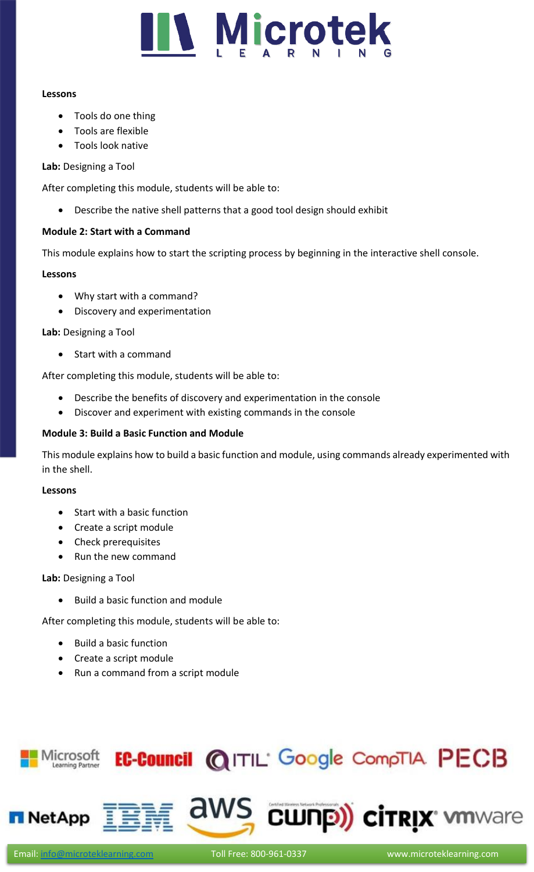

#### **Lessons**

- Tools do one thing
- Tools are flexible
- Tools look native

## **Lab:** Designing a Tool

After completing this module, students will be able to:

• Describe the native shell patterns that a good tool design should exhibit

## **Module 2: Start with a Command**

This module explains how to start the scripting process by beginning in the interactive shell console.

## **Lessons**

- Why start with a command?
- Discovery and experimentation

**Lab:** Designing a Tool

• Start with a command

After completing this module, students will be able to:

- Describe the benefits of discovery and experimentation in the console
- Discover and experiment with existing commands in the console

## **Module 3: Build a Basic Function and Module**

This module explains how to build a basic function and module, using commands already experimented with in the shell.

#### **Lessons**

- Start with a basic function
- Create a script module
- Check prerequisites
- Run the new command

## **Lab:** Designing a Tool

• Build a basic function and module

After completing this module, students will be able to:

- Build a basic function
- Create a script module
- Run a command from a script module

#### EC-Council @ITIL' Google CompTIA PECB Microsoft Learning Partner

aws cunp) cirrix where

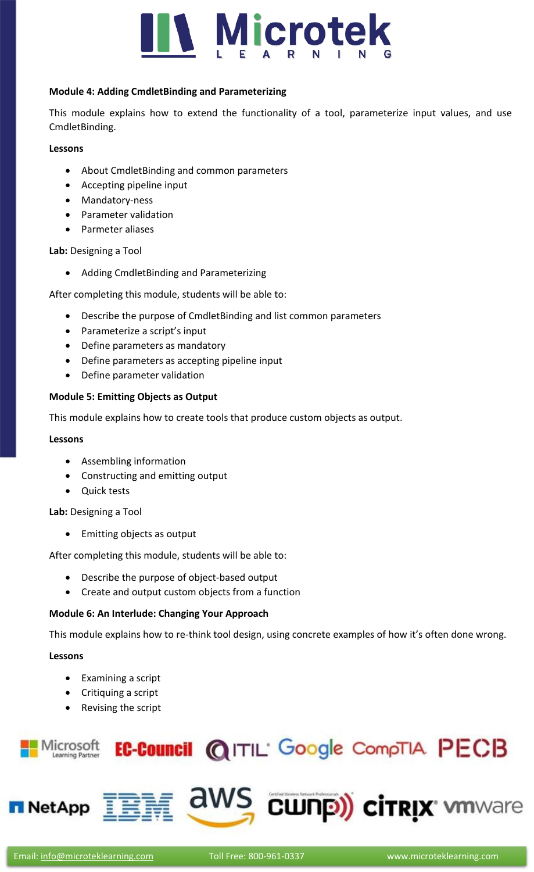

## **Module 4: Adding CmdletBinding and Parameterizing**

This module explains how to extend the functionality of a tool, parameterize input values, and use CmdletBinding.

#### **Lessons**

- About CmdletBinding and common parameters
- Accepting pipeline input
- Mandatory-ness
- Parameter validation
- Parmeter aliases

#### **Lab:** Designing a Tool

• Adding CmdletBinding and Parameterizing

After completing this module, students will be able to:

- Describe the purpose of CmdletBinding and list common parameters
- Parameterize a script's input
- Define parameters as mandatory
- Define parameters as accepting pipeline input
- Define parameter validation

## **Module 5: Emitting Objects as Output**

This module explains how to create tools that produce custom objects as output.

#### **Lessons**

- Assembling information
- Constructing and emitting output
- Quick tests

#### **Lab:** Designing a Tool

• Emitting objects as output

After completing this module, students will be able to:

- Describe the purpose of object-based output
- Create and output custom objects from a function

## **Module 6: An Interlude: Changing Your Approach**

This module explains how to re-think tool design, using concrete examples of how it's often done wrong.

#### **Lessons**

- Examining a script
- Critiquing a script
- Revising the script



**NetApp** 

aws

**CWNP) CITRIX MANARIE**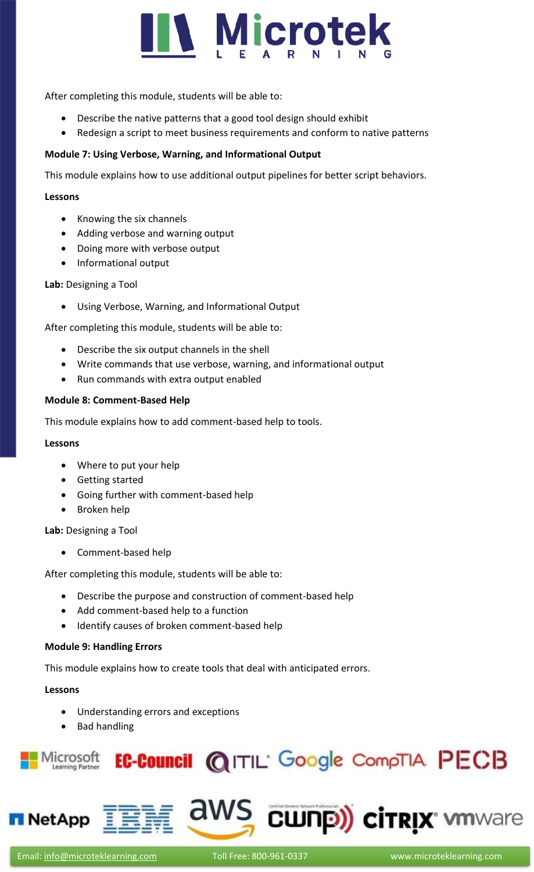

After completing this module, students will be able to:

- Describe the native patterns that a good tool design should exhibit
- Redesign a script to meet business requirements and conform to native patterns

## **Module 7: Using Verbose, Warning, and Informational Output**

This module explains how to use additional output pipelines for better script behaviors.

#### **Lessons**

- Knowing the six channels
- Adding verbose and warning output
- Doing more with verbose output
- Informational output

## **Lab:** Designing a Tool

• Using Verbose, Warning, and Informational Output

After completing this module, students will be able to:

- Describe the six output channels in the shell
- Write commands that use verbose, warning, and informational output
- Run commands with extra output enabled

#### **Module 8: Comment-Based Help**

This module explains how to add comment-based help to tools.

#### **Lessons**

- Where to put your help
- Getting started
- Going further with comment-based help
- Broken help

**Lab:** Designing a Tool

• Comment-based help

After completing this module, students will be able to:

- Describe the purpose and construction of comment-based help
- Add comment-based help to a function
- Identify causes of broken comment-based help

#### **Module 9: Handling Errors**

This module explains how to create tools that deal with anticipated errors.

#### **Lessons**

- Understanding errors and exceptions
- Bad handling





aws cunp) cirrix whware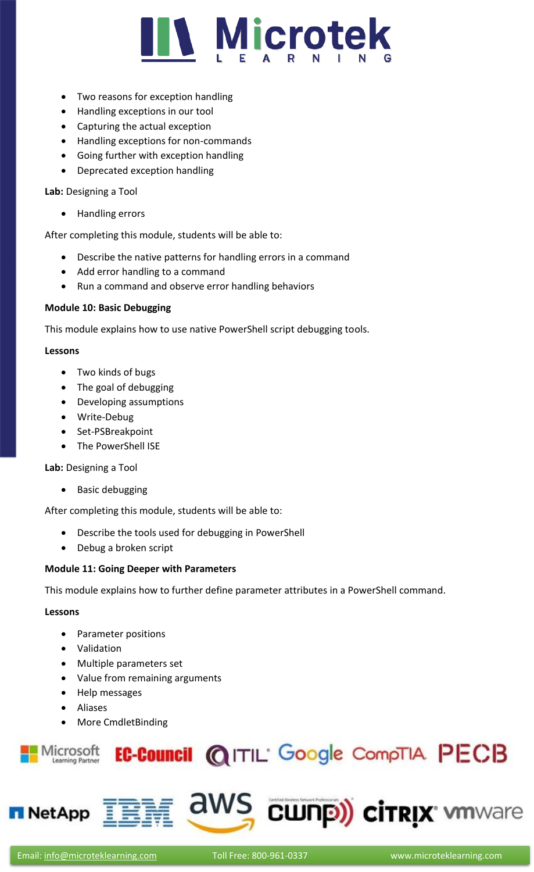

- Two reasons for exception handling
- Handling exceptions in our tool
- Capturing the actual exception
- Handling exceptions for non-commands
- Going further with exception handling
- Deprecated exception handling

## **Lab:** Designing a Tool

• Handling errors

After completing this module, students will be able to:

- Describe the native patterns for handling errors in a command
- Add error handling to a command
- Run a command and observe error handling behaviors

## **Module 10: Basic Debugging**

This module explains how to use native PowerShell script debugging tools.

#### **Lessons**

- Two kinds of bugs
- The goal of debugging
- Developing assumptions
- Write-Debug
- Set-PSBreakpoint
- The PowerShell ISE

#### **Lab:** Designing a Tool

• Basic debugging

After completing this module, students will be able to:

- Describe the tools used for debugging in PowerShell
- Debug a broken script

#### **Module 11: Going Deeper with Parameters**

This module explains how to further define parameter attributes in a PowerShell command.

### **Lessons**

- Parameter positions
- Validation
- Multiple parameters set
- Value from remaining arguments
- Help messages
- Aliases
- More CmdletBinding





aws

**CWNP) CITRIX MINARTER**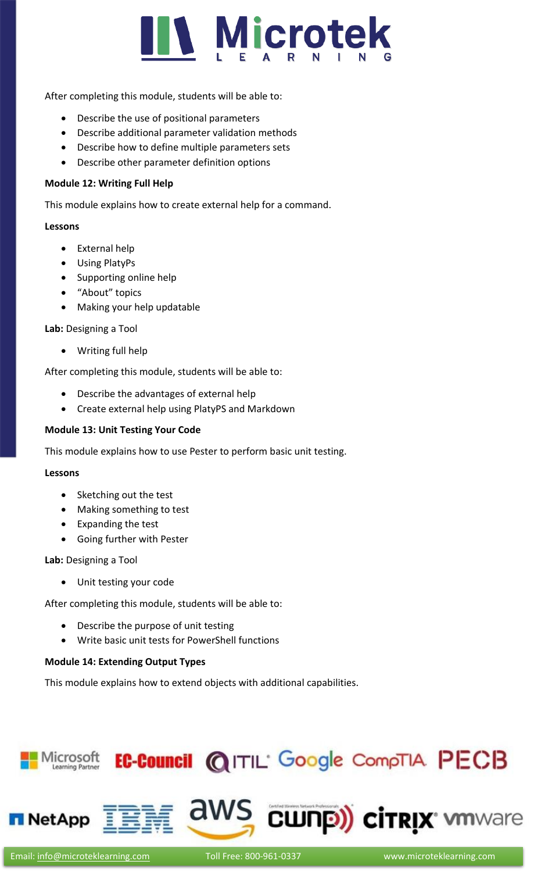

After completing this module, students will be able to:

- Describe the use of positional parameters
- Describe additional parameter validation methods
- Describe how to define multiple parameters sets
- Describe other parameter definition options

#### **Module 12: Writing Full Help**

This module explains how to create external help for a command.

#### **Lessons**

- External help
- Using PlatyPs
- Supporting online help
- "About" topics
- Making your help updatable

**Lab:** Designing a Tool

• Writing full help

After completing this module, students will be able to:

- Describe the advantages of external help
- Create external help using PlatyPS and Markdown

## **Module 13: Unit Testing Your Code**

This module explains how to use Pester to perform basic unit testing.

#### **Lessons**

- Sketching out the test
- Making something to test
- Expanding the test
- Going further with Pester

**Lab:** Designing a Tool

• Unit testing your code

After completing this module, students will be able to:

- Describe the purpose of unit testing
- Write basic unit tests for PowerShell functions

#### **Module 14: Extending Output Types**

This module explains how to extend objects with additional capabilities.

#### EC-Council @ITIL' Google CompTIA PECB Microsoft Learning Partner



aws cunp) cirrix whware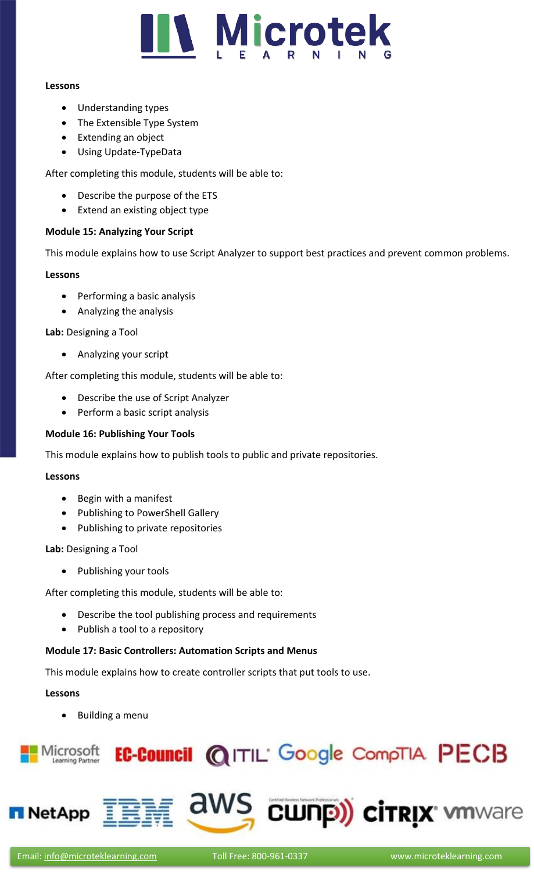

#### **Lessons**

- Understanding types
- The Extensible Type System
- Extending an object
- Using Update-TypeData

After completing this module, students will be able to:

- Describe the purpose of the ETS
- Extend an existing object type

## **Module 15: Analyzing Your Script**

This module explains how to use Script Analyzer to support best practices and prevent common problems.

## **Lessons**

- Performing a basic analysis
- Analyzing the analysis

**Lab:** Designing a Tool

• Analyzing your script

After completing this module, students will be able to:

- Describe the use of Script Analyzer
- Perform a basic script analysis

## **Module 16: Publishing Your Tools**

This module explains how to publish tools to public and private repositories.

#### **Lessons**

- Begin with a manifest
- Publishing to PowerShell Gallery
- Publishing to private repositories

**Lab:** Designing a Tool

• Publishing your tools

After completing this module, students will be able to:

- Describe the tool publishing process and requirements
- Publish a tool to a repository

## **Module 17: Basic Controllers: Automation Scripts and Menus**

This module explains how to create controller scripts that put tools to use.

#### **Lessons**

• Building a menu





**NetApp** 

**CWNP) CITRIX MINARTER**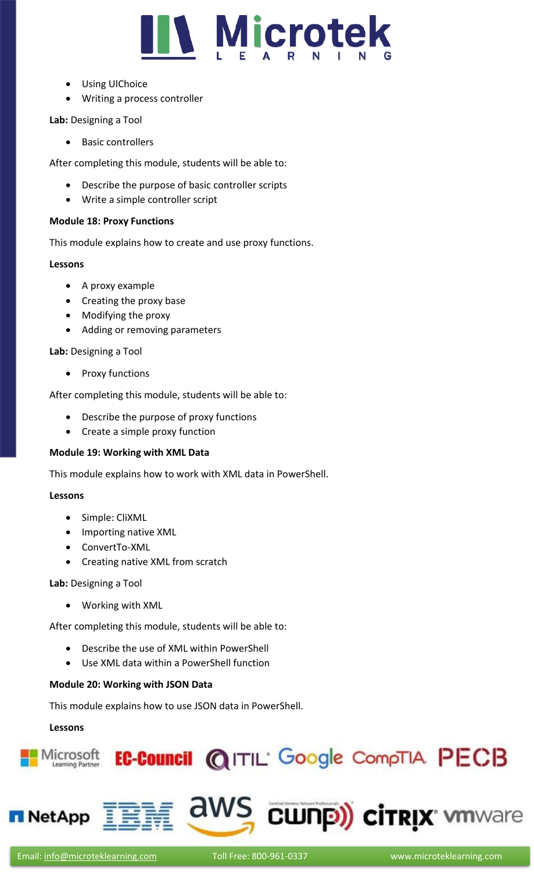

- Using UIChoice
- Writing a process controller

## **Lab:** Designing a Tool

• Basic controllers

After completing this module, students will be able to:

- Describe the purpose of basic controller scripts
- Write a simple controller script

## **Module 18: Proxy Functions**

This module explains how to create and use proxy functions.

## **Lessons**

- A proxy example
- Creating the proxy base
- Modifying the proxy
- Adding or removing parameters

**Lab:** Designing a Tool

• Proxy functions

After completing this module, students will be able to:

- Describe the purpose of proxy functions
- Create a simple proxy function

## **Module 19: Working with XML Data**

This module explains how to work with XML data in PowerShell.

## **Lessons**

- Simple: CliXML
- Importing native XML
- ConvertTo-XML
- Creating native XML from scratch

**Lab:** Designing a Tool

• Working with XML

After completing this module, students will be able to:

- Describe the use of XML within PowerShell
- Use XML data within a PowerShell function

## **Module 20: Working with JSON Data**

This module explains how to use JSON data in PowerShell.

## **Lessons**

**NetApp**